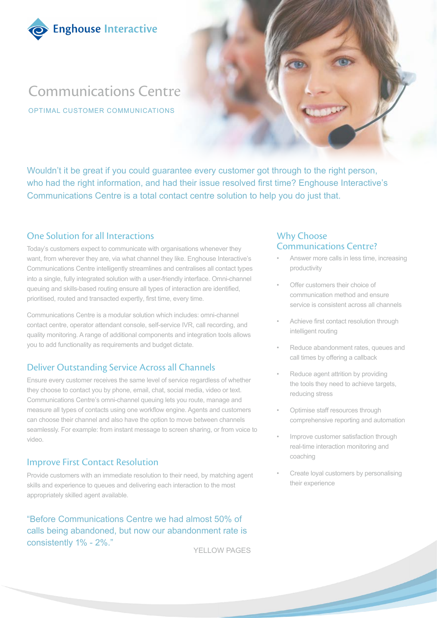

# Communications Centre

OPTIMAL CUSTOMER COMMUNICATIONS

Wouldn't it be great if you could guarantee every customer got through to the right person, who had the right information, and had their issue resolved first time? Enghouse Interactive's Communications Centre is a total contact centre solution to help you do just that.

## One Solution for all Interactions

Today's customers expect to communicate with organisations whenever they want, from wherever they are, via what channel they like. Enghouse Interactive's Communications Centre intelligently streamlines and centralises all contact types into a single, fully integrated solution with a user-friendly interface. Omni-channel queuing and skills-based routing ensure all types of interaction are identified, prioritised, routed and transacted expertly, first time, every time.

Communications Centre is a modular solution which includes: omni-channel contact centre, operator attendant console, self-service IVR, call recording, and quality monitoring. A range of additional components and integration tools allows you to add functionality as requirements and budget dictate.

# Deliver Outstanding Service Across all Channels

Ensure every customer receives the same level of service regardless of whether they choose to contact you by phone, email, chat, social media, video or text. Communications Centre's omni-channel queuing lets you route, manage and measure all types of contacts using one workflow engine. Agents and customers can choose their channel and also have the option to move between channels seamlessly. For example: from instant message to screen sharing, or from voice to video.

# Improve First Contact Resolution

Provide customers with an immediate resolution to their need, by matching agent skills and experience to queues and delivering each interaction to the most appropriately skilled agent available.

"Before Communications Centre we had almost 50% of calls being abandoned, but now our abandonment rate is consistently 1% - 2%."

YELLOW PAGES

## Why Choose Communications Centre?

- Answer more calls in less time, increasing productivity
- Offer customers their choice of communication method and ensure service is consistent across all channels
- Achieve first contact resolution through intelligent routing
- Reduce abandonment rates, queues and call times by offering a callback
- Reduce agent attrition by providing the tools they need to achieve targets, reducing stress
- Optimise staff resources through comprehensive reporting and automation
- Improve customer satisfaction through real-time interaction monitoring and coaching
- Create loyal customers by personalising their experience